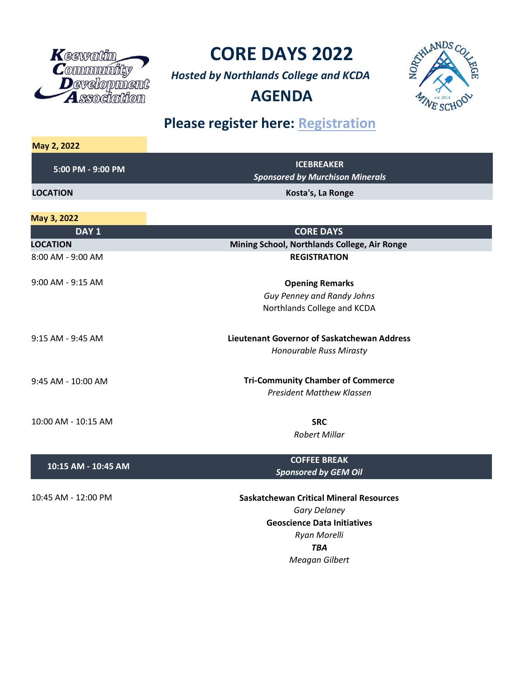

**CORE DAYS 2022**

**AGENDA** 

*Hosted by Northlands College and KCDA*



## **Please register here: [Registration](https://www.surveymonkey.com/r/RegCoredays)**

| May 2, 2022          |                                                             |
|----------------------|-------------------------------------------------------------|
| 5:00 PM - 9:00 PM    | <b>ICEBREAKER</b><br><b>Sponsored by Murchison Minerals</b> |
| <b>LOCATION</b>      | Kosta's, La Ronge                                           |
| May 3, 2022          |                                                             |
| DAY <sub>1</sub>     | <b>CORE DAYS</b>                                            |
| <b>LOCATION</b>      | Mining School, Northlands College, Air Ronge                |
| 8:00 AM - 9:00 AM    | <b>REGISTRATION</b>                                         |
| 9:00 AM - 9:15 AM    | <b>Opening Remarks</b>                                      |
|                      | Guy Penney and Randy Johns                                  |
|                      | Northlands College and KCDA                                 |
| 9:15 AM - 9:45 AM    | <b>Lieutenant Governor of Saskatchewan Address</b>          |
|                      | Honourable Russ Mirasty                                     |
| $9:45$ AM - 10:00 AM | <b>Tri-Community Chamber of Commerce</b>                    |
|                      | <b>President Matthew Klassen</b>                            |
| 10:00 AM - 10:15 AM  | <b>SRC</b>                                                  |
|                      | <b>Robert Millar</b>                                        |
| 10:15 AM - 10:45 AM  | <b>COFFEE BREAK</b>                                         |
|                      | <b>Sponsored by GEM Oil</b>                                 |
| 10:45 AM - 12:00 PM  | <b>Saskatchewan Critical Mineral Resources</b>              |
|                      | <b>Gary Delaney</b>                                         |
|                      | <b>Geoscience Data Initiatives</b>                          |
|                      | Ryan Morelli                                                |
|                      | <b>TBA</b>                                                  |
|                      | Meagan Gilbert                                              |
|                      |                                                             |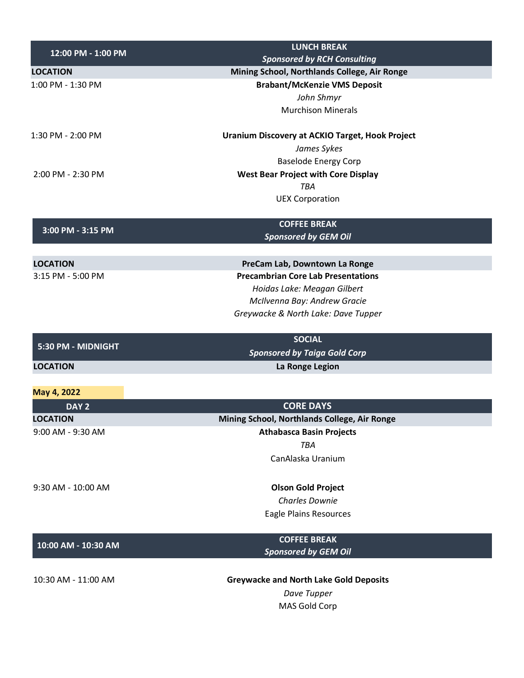| 12:00 PM - 1:00 PM  | <b>LUNCH BREAK</b>                                     |
|---------------------|--------------------------------------------------------|
|                     | <b>Sponsored by RCH Consulting</b>                     |
| <b>LOCATION</b>     | Mining School, Northlands College, Air Ronge           |
| 1:00 PM - 1:30 PM   | <b>Brabant/McKenzie VMS Deposit</b>                    |
|                     | John Shmyr                                             |
|                     | <b>Murchison Minerals</b>                              |
| 1:30 PM - 2:00 PM   | <b>Uranium Discovery at ACKIO Target, Hook Project</b> |
|                     | James Sykes                                            |
|                     | <b>Baselode Energy Corp</b>                            |
| 2:00 PM - 2:30 PM   | <b>West Bear Project with Core Display</b>             |
|                     | <b>TBA</b>                                             |
|                     | <b>UEX Corporation</b>                                 |
| 3:00 PM - 3:15 PM   | <b>COFFEE BREAK</b>                                    |
|                     | <b>Sponsored by GEM Oil</b>                            |
| <b>LOCATION</b>     | PreCam Lab, Downtown La Ronge                          |
| 3:15 PM - 5:00 PM   | <b>Precambrian Core Lab Presentations</b>              |
|                     | Hoidas Lake: Meagan Gilbert                            |
|                     | McIlvenna Bay: Andrew Gracie                           |
|                     | Greywacke & North Lake: Dave Tupper                    |
| 5:30 PM - MIDNIGHT  | <b>SOCIAL</b>                                          |
|                     | <b>Sponsored by Taiga Gold Corp</b>                    |
| <b>LOCATION</b>     | La Ronge Legion                                        |
| May 4, 2022         |                                                        |
| DAY <sub>2</sub>    | <b>CORE DAYS</b>                                       |
| <b>LOCATION</b>     | Mining School, Northlands College, Air Ronge           |
| 9:00 AM - 9:30 AM   | <b>Athabasca Basin Projects</b>                        |
|                     | TBA                                                    |
|                     | CanAlaska Uranium                                      |
|                     |                                                        |
| 9:30 AM - 10:00 AM  | <b>Olson Gold Project</b>                              |
|                     | <b>Charles Downie</b>                                  |
|                     | <b>Eagle Plains Resources</b>                          |
| 10:00 AM - 10:30 AM | <b>COFFEE BREAK</b>                                    |
|                     | <b>Sponsored by GEM Oil</b>                            |
| 10:30 AM - 11:00 AM | <b>Greywacke and North Lake Gold Deposits</b>          |
|                     | Dave Tupper                                            |
|                     | MAS Gold Corp                                          |
|                     |                                                        |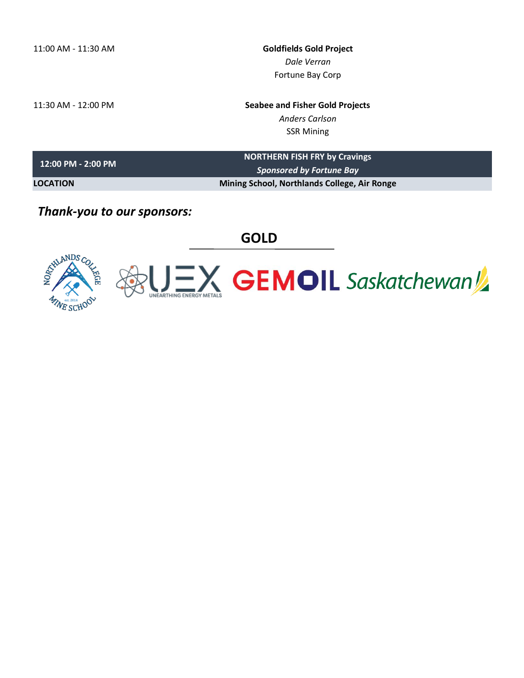| 11:00 AM - 11:30 AM | <b>Goldfields Gold Project</b>         |
|---------------------|----------------------------------------|
|                     | Dale Verran                            |
|                     | Fortune Bay Corp                       |
| 11:30 AM - 12:00 PM | <b>Seabee and Fisher Gold Projects</b> |
|                     | <b>Anders Carlson</b>                  |
|                     | <b>SSR Mining</b>                      |
|                     |                                        |

| 12:00 PM - 2:00 PM | <b>NORTHERN FISH FRY by Cravings</b>         |  |
|--------------------|----------------------------------------------|--|
|                    | <b>Sponsored by Fortune Bay</b>              |  |
| <b>LOCATION</b>    | Mining School, Northlands College, Air Ronge |  |

## *Thank-you to our sponsors:*

**GOLD**